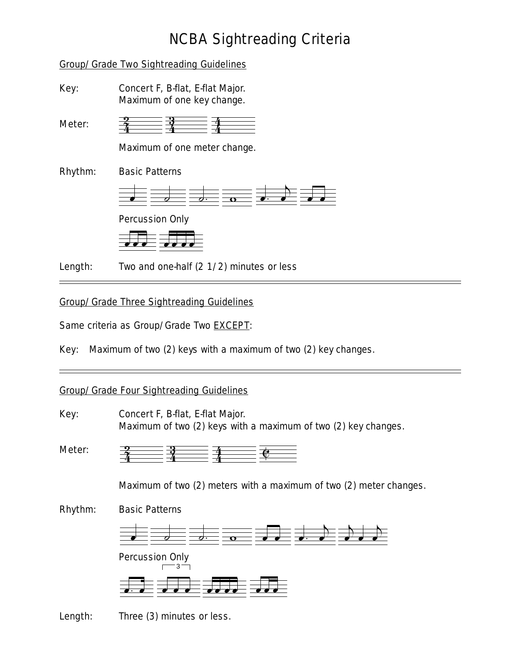# NCBA Sightreading Criteria

#### Group/Grade Two Sightreading Guidelines

Key: Concert F, B-flat, E-flat Major. Maximum of one key change.

Meter: 4 4  $\frac{3}{4}$  $\frac{2}{4}$   $\frac{3}{4}$   $\frac{3}{4}$  $\mathbf{\hat{4}}$ 

Maximum of one meter change.

Rhythm: Basic Patterns



Percussion Only



**Length:** Two and one-half (2 1/2) minutes or less

## Group/Grade Three Sightreading Guidelines

Same criteria as Group/Grade Two **EXCEPT**:

Key: Maximum of two (2) keys with a maximum of two (2) key changes.

### Group/Grade Four Sightreading Guidelines

Key: Concert F, B-flat, E-flat Major. Maximum of two (2) keys with a maximum of two (2) key changes.

Meter: 4  $\frac{3}{4}$ 4  $\frac{2}{4}$   $\frac{1}{4}$   $\frac{1}{4}$  $\mathbf{\hat{4}}$  $\frac{1}{\sqrt{2}}$ 

Maximum of two (2) meters with a maximum of two (2) meter changes.

Rhythm: Basic Patterns



Percussion Only



Length: Three (3) minutes or less.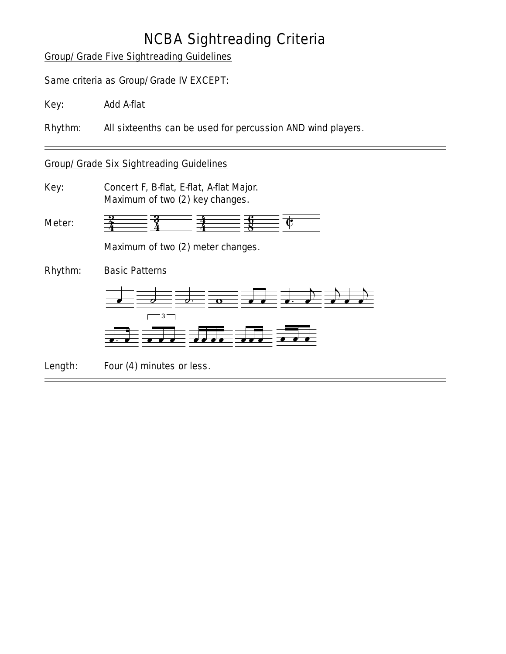# NCBA Sightreading Criteria

## Group/Grade Five Sightreading Guidelines

Same criteria as Group/Grade IV EXCEPT:

Key: Add A-flat

Rhythm: All sixteenths can be used for percussion AND wind players.

#### Group/Grade Six Sightreading Guidelines

Key: Concert F, B-flat, E-flat, A-flat Major. Maximum of two (2) key changes.

Meter: 4 4  $\frac{2}{4}$   $\frac{1}{4}$   $\frac{1}{4}$  $\frac{2}{4}$   $\frac{3}{4}$   $\frac{3}{4}$   $\frac{8}{8}$   $\frac{6}{4}$ 

Maximum of two (2) meter changes.

Rhythm: Basic Patterns





Length: Four (4) minutes or less.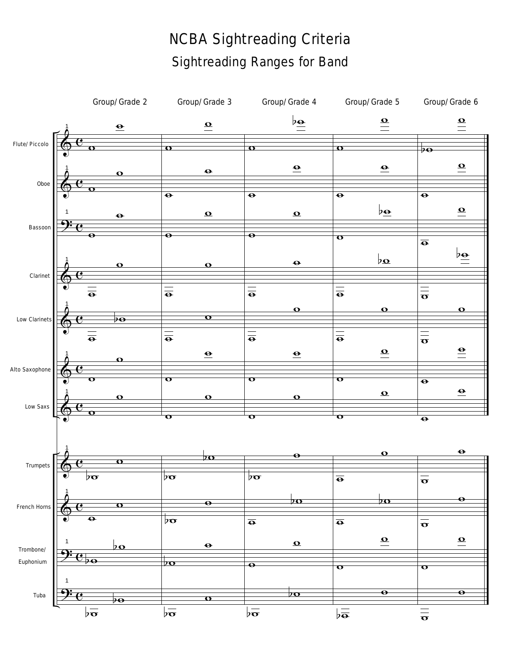# NCBA Sightreading Criteria Sightreading Ranges for Band